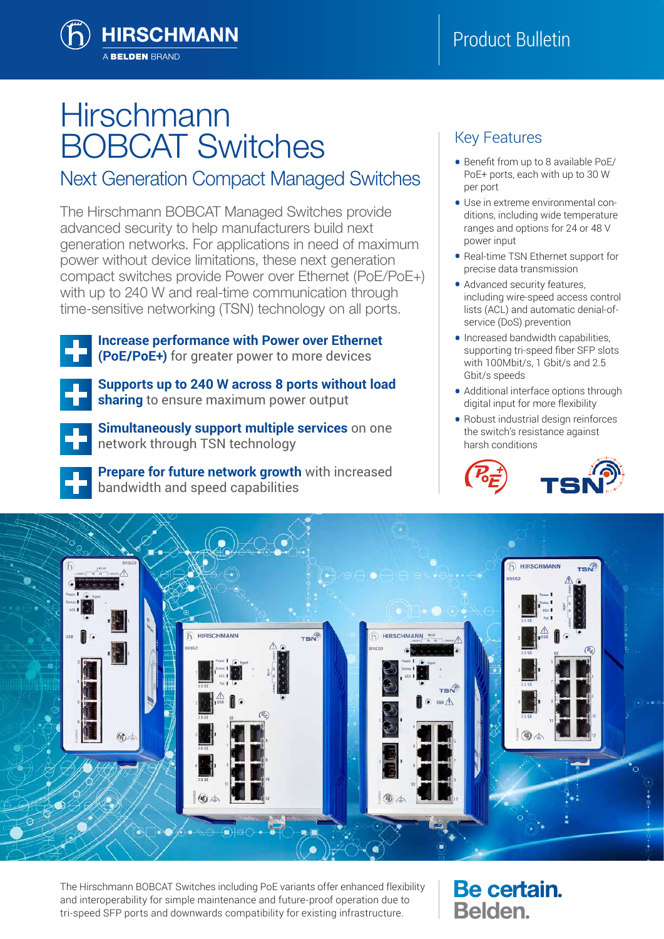**HIRSCHMANN** A BELDEN BRAND

# **Hirschmann** BOBCAT Switches

# Next Generation Compact Managed Switches

The Hirschmann BOBCAT Managed Switches provide advanced security to help manufacturers build next generation networks. For applications in need of maximum power without device limitations, these next generation compact switches provide Power over Ethernet (PoE/PoE+) with up to 240 W and real-time communication through time-sensitive networking (TSN) technology on all ports.



**Increase performance with Power over Ethernet (PoE/PoE+)** for greater power to more devices



**Supports up to 240 W across 8 ports without load sharing** to ensure maximum power output



**Simultaneously support multiple services** on one network through TSN technology

**Prepare for future network growth** with increased bandwidth and speed capabilities

### Key Features

- Benefit from up to <sup>8</sup> available PoE/ PoE+ ports, each with up to 30 W per port
- Use in extreme environmental conditions, including wide temperature ranges and options for 24 or 48 V power input
- Real-time TSN Ethernet support for precise data transmission
- Advanced security features, including wire-speed access control lists (ACL) and automatic denial-ofservice (DoS) prevention
- Increased bandwidth capabilities. supporting tri-speed fiber SFP slots with 100Mbit/s, 1 Gbit/s and 2.5 Gbit/s speeds
- Additional interface options through digital input for more flexibility
- Robust industrial design reinforces the switch's resistance against harsh conditions





The Hirschmann BOBCAT Switches including PoE variants offer enhanced flexibility and interoperability for simple maintenance and future-proof operation due to tri-speed SFP ports and downwards compatibility for existing infrastructure.

Be certain. **Belden**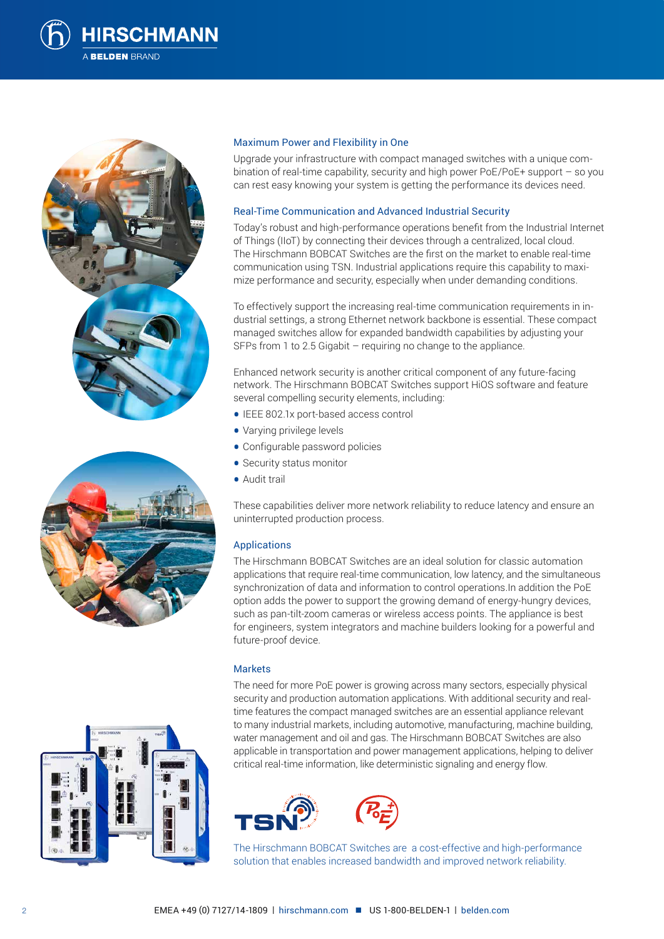







#### Maximum Power and Flexibility in One

Upgrade your infrastructure with compact managed switches with a unique combination of real-time capability, security and high power PoE/PoE+ support – so you can rest easy knowing your system is getting the performance its devices need.

#### Real-Time Communication and Advanced Industrial Security

Today's robust and high-performance operations benefit from the Industrial Internet of Things (IIoT) by connecting their devices through a centralized, local cloud. The Hirschmann BOBCAT Switches are the first on the market to enable real-time communication using TSN. Industrial applications require this capability to maximize performance and security, especially when under demanding conditions.

To effectively support the increasing real-time communication requirements in industrial settings, a strong Ethernet network backbone is essential. These compact managed switches allow for expanded bandwidth capabilities by adjusting your SFPs from 1 to 2.5 Gigabit – requiring no change to the appliance.

Enhanced network security is another critical component of any future-facing network. The Hirschmann BOBCAT Switches support HiOS software and feature several compelling security elements, including:

- IEEE 802.1x port-based access control
- Varying privilege levels
- Configurable password policies
- Security status monitor
- Audit trail

These capabilities deliver more network reliability to reduce latency and ensure an uninterrupted production process.

#### Applications

The Hirschmann BOBCAT Switches are an ideal solution for classic automation applications that require real-time communication, low latency, and the simultaneous synchronization of data and information to control operations.In addition the PoE option adds the power to support the growing demand of energy-hungry devices, such as pan-tilt-zoom cameras or wireless access points. The appliance is best for engineers, system integrators and machine builders looking for a powerful and future-proof device.

#### Markets

The need for more PoE power is growing across many sectors, especially physical security and production automation applications. With additional security and realtime features the compact managed switches are an essential appliance relevant to many industrial markets, including automotive, manufacturing, machine building, water management and oil and gas. The Hirschmann BOBCAT Switches are also applicable in transportation and power management applications, helping to deliver critical real-time information, like deterministic signaling and energy flow.



The Hirschmann BOBCAT Switches are a cost-effective and high-performance solution that enables increased bandwidth and improved network reliability.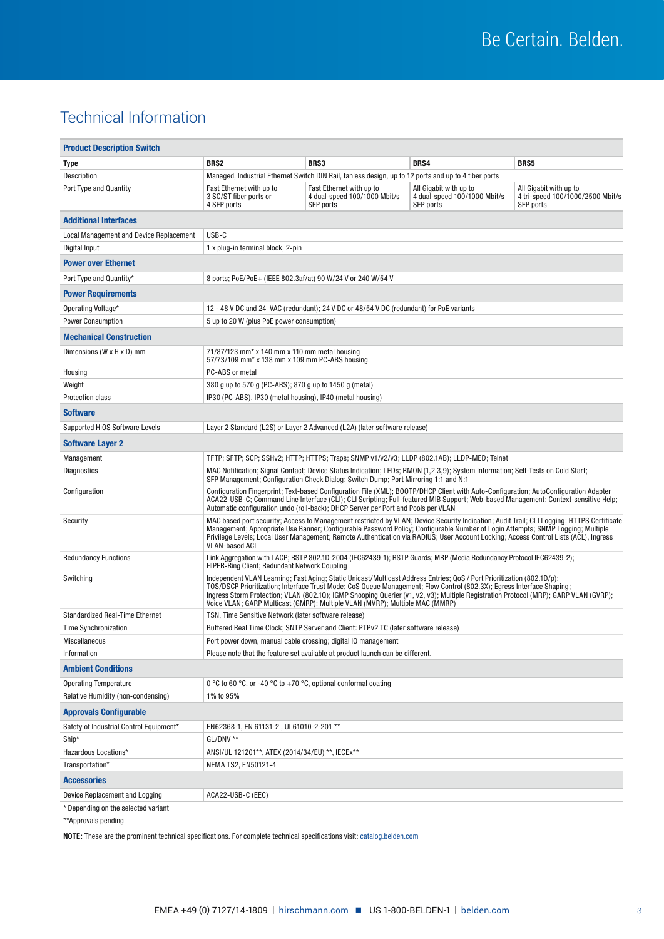## Technical Information

| <b>Product Description Switch</b>              |                                                                                                                                                                                                                                                                                                                                                                                                                                                                         |                                                                                         |                                                                     |                                                                         |  |  |  |
|------------------------------------------------|-------------------------------------------------------------------------------------------------------------------------------------------------------------------------------------------------------------------------------------------------------------------------------------------------------------------------------------------------------------------------------------------------------------------------------------------------------------------------|-----------------------------------------------------------------------------------------|---------------------------------------------------------------------|-------------------------------------------------------------------------|--|--|--|
| <b>Type</b>                                    | BRS2                                                                                                                                                                                                                                                                                                                                                                                                                                                                    | <b>BRS3</b>                                                                             | <b>BRS4</b>                                                         | <b>BRS5</b>                                                             |  |  |  |
| Description                                    | Managed, Industrial Ethernet Switch DIN Rail, fanless design, up to 12 ports and up to 4 fiber ports                                                                                                                                                                                                                                                                                                                                                                    |                                                                                         |                                                                     |                                                                         |  |  |  |
| Port Type and Quantity                         | Fast Ethernet with up to<br>3 SC/ST fiber ports or<br>4 SFP ports                                                                                                                                                                                                                                                                                                                                                                                                       | Fast Ethernet with up to<br>4 dual-speed 100/1000 Mbit/s<br>SFP ports                   | All Gigabit with up to<br>4 dual-speed 100/1000 Mbit/s<br>SFP ports | All Gigabit with up to<br>4 tri-speed 100/1000/2500 Mbit/s<br>SFP ports |  |  |  |
| <b>Additional Interfaces</b>                   |                                                                                                                                                                                                                                                                                                                                                                                                                                                                         |                                                                                         |                                                                     |                                                                         |  |  |  |
| <b>Local Management and Device Replacement</b> | USB-C                                                                                                                                                                                                                                                                                                                                                                                                                                                                   |                                                                                         |                                                                     |                                                                         |  |  |  |
| Digital Input                                  | 1 x plug-in terminal block, 2-pin                                                                                                                                                                                                                                                                                                                                                                                                                                       |                                                                                         |                                                                     |                                                                         |  |  |  |
| <b>Power over Ethernet</b>                     |                                                                                                                                                                                                                                                                                                                                                                                                                                                                         |                                                                                         |                                                                     |                                                                         |  |  |  |
| Port Type and Quantity*                        | 8 ports; PoE/PoE+ (IEEE 802.3af/at) 90 W/24 V or 240 W/54 V                                                                                                                                                                                                                                                                                                                                                                                                             |                                                                                         |                                                                     |                                                                         |  |  |  |
| <b>Power Requirements</b>                      |                                                                                                                                                                                                                                                                                                                                                                                                                                                                         |                                                                                         |                                                                     |                                                                         |  |  |  |
| Operating Voltage*                             |                                                                                                                                                                                                                                                                                                                                                                                                                                                                         | 12 - 48 V DC and 24 VAC (redundant); 24 V DC or 48/54 V DC (redundant) for PoE variants |                                                                     |                                                                         |  |  |  |
| <b>Power Consumption</b>                       | 5 up to 20 W (plus PoE power consumption)                                                                                                                                                                                                                                                                                                                                                                                                                               |                                                                                         |                                                                     |                                                                         |  |  |  |
| <b>Mechanical Construction</b>                 |                                                                                                                                                                                                                                                                                                                                                                                                                                                                         |                                                                                         |                                                                     |                                                                         |  |  |  |
| Dimensions (W x H x D) mm                      | 71/87/123 mm* x 140 mm x 110 mm metal housing<br>57/73/109 mm* x 138 mm x 109 mm PC-ABS housing                                                                                                                                                                                                                                                                                                                                                                         |                                                                                         |                                                                     |                                                                         |  |  |  |
| Housing                                        | PC-ABS or metal                                                                                                                                                                                                                                                                                                                                                                                                                                                         |                                                                                         |                                                                     |                                                                         |  |  |  |
| Weight                                         | 380 g up to 570 g (PC-ABS); 870 g up to 1450 g (metal)                                                                                                                                                                                                                                                                                                                                                                                                                  |                                                                                         |                                                                     |                                                                         |  |  |  |
| <b>Protection class</b>                        | IP30 (PC-ABS), IP30 (metal housing), IP40 (metal housing)                                                                                                                                                                                                                                                                                                                                                                                                               |                                                                                         |                                                                     |                                                                         |  |  |  |
| <b>Software</b>                                |                                                                                                                                                                                                                                                                                                                                                                                                                                                                         |                                                                                         |                                                                     |                                                                         |  |  |  |
| Supported HiOS Software Levels                 | Layer 2 Standard (L2S) or Layer 2 Advanced (L2A) (later software release)                                                                                                                                                                                                                                                                                                                                                                                               |                                                                                         |                                                                     |                                                                         |  |  |  |
| <b>Software Layer 2</b>                        |                                                                                                                                                                                                                                                                                                                                                                                                                                                                         |                                                                                         |                                                                     |                                                                         |  |  |  |
| Management                                     | TFTP; SFTP; SCP; SSHv2; HTTP; HTTPS; Traps; SNMP v1/v2/v3; LLDP (802.1AB); LLDP-MED; Telnet                                                                                                                                                                                                                                                                                                                                                                             |                                                                                         |                                                                     |                                                                         |  |  |  |
| <b>Diagnostics</b>                             | MAC Notification; Signal Contact; Device Status Indication; LEDs; RMON (1,2,3,9); System Information; Self-Tests on Cold Start;<br>SFP Management; Configuration Check Dialog; Switch Dump; Port Mirroring 1:1 and N:1                                                                                                                                                                                                                                                  |                                                                                         |                                                                     |                                                                         |  |  |  |
| Configuration                                  | Configuration Fingerprint; Text-based Configuration File (XML); BOOTP/DHCP Client with Auto-Configuration; AutoConfiguration Adapter<br>ACA22-USB-C; Command Line Interface (CLI); CLI Scripting; Full-featured MIB Support; Web-based Management; Context-sensitive Help;<br>Automatic configuration undo (roll-back); DHCP Server per Port and Pools per VLAN                                                                                                         |                                                                                         |                                                                     |                                                                         |  |  |  |
| Security                                       | MAC based port security; Access to Management restricted by VLAN; Device Security Indication; Audit Trail; CLI Logging; HTTPS Certificate<br>Management; Appropriate Use Banner; Configurable Password Policy; Configurable Number of Login Attempts; SNMP Logging; Multiple<br>Privilege Levels; Local User Management; Remote Authentication via RADIUS; User Account Locking; Access Control Lists (ACL), Ingress<br><b>VLAN-based ACL</b>                           |                                                                                         |                                                                     |                                                                         |  |  |  |
| <b>Redundancy Functions</b>                    | Link Aggregation with LACP; RSTP 802.1D-2004 (IEC62439-1); RSTP Guards; MRP (Media Redundancy Protocol IEC62439-2);<br>HIPER-Ring Client; Redundant Network Coupling                                                                                                                                                                                                                                                                                                    |                                                                                         |                                                                     |                                                                         |  |  |  |
| Switching                                      | Independent VLAN Learning; Fast Aging; Static Unicast/Multicast Address Entries; QoS / Port Prioritization (802.1D/p);<br>TOS/DSCP Prioritization; Interface Trust Mode; CoS Queue Management; Flow Control (802.3X); Egress Interface Shaping;<br>Ingress Storm Protection; VLAN (802.10); IGMP Snooping Querier (v1, v2, v3); Multiple Registration Protocol (MRP); GARP VLAN (GVRP);<br>Voice VLAN; GARP Multicast (GMRP); Multiple VLAN (MVRP); Multiple MAC (MMRP) |                                                                                         |                                                                     |                                                                         |  |  |  |
| <b>Standardized Real-Time Ethernet</b>         | TSN, Time Sensitive Network (later software release)                                                                                                                                                                                                                                                                                                                                                                                                                    |                                                                                         |                                                                     |                                                                         |  |  |  |
| <b>Time Synchronization</b>                    | Buffered Real Time Clock; SNTP Server and Client: PTPv2 TC (later software release)                                                                                                                                                                                                                                                                                                                                                                                     |                                                                                         |                                                                     |                                                                         |  |  |  |
| Miscellaneous                                  | Port power down, manual cable crossing; digital IO management                                                                                                                                                                                                                                                                                                                                                                                                           |                                                                                         |                                                                     |                                                                         |  |  |  |
| Information                                    |                                                                                                                                                                                                                                                                                                                                                                                                                                                                         | Please note that the feature set available at product launch can be different.          |                                                                     |                                                                         |  |  |  |
| <b>Ambient Conditions</b>                      |                                                                                                                                                                                                                                                                                                                                                                                                                                                                         |                                                                                         |                                                                     |                                                                         |  |  |  |
| <b>Operating Temperature</b>                   | 0 °C to 60 °C, or -40 °C to +70 °C, optional conformal coating                                                                                                                                                                                                                                                                                                                                                                                                          |                                                                                         |                                                                     |                                                                         |  |  |  |
| Relative Humidity (non-condensing)             | 1% to 95%                                                                                                                                                                                                                                                                                                                                                                                                                                                               |                                                                                         |                                                                     |                                                                         |  |  |  |
| <b>Approvals Configurable</b>                  |                                                                                                                                                                                                                                                                                                                                                                                                                                                                         |                                                                                         |                                                                     |                                                                         |  |  |  |
| Safety of Industrial Control Equipment*        | EN62368-1, EN 61131-2, UL61010-2-201 **                                                                                                                                                                                                                                                                                                                                                                                                                                 |                                                                                         |                                                                     |                                                                         |  |  |  |
| Ship*                                          | GL/DNV **                                                                                                                                                                                                                                                                                                                                                                                                                                                               |                                                                                         |                                                                     |                                                                         |  |  |  |
| Hazardous Locations*                           | ANSI/UL 121201**, ATEX (2014/34/EU) **, IECEx**                                                                                                                                                                                                                                                                                                                                                                                                                         |                                                                                         |                                                                     |                                                                         |  |  |  |
| Transportation*                                | NEMA TS2, EN50121-4                                                                                                                                                                                                                                                                                                                                                                                                                                                     |                                                                                         |                                                                     |                                                                         |  |  |  |
| <b>Accessories</b>                             |                                                                                                                                                                                                                                                                                                                                                                                                                                                                         |                                                                                         |                                                                     |                                                                         |  |  |  |
| Device Replacement and Logging                 | ACA22-USB-C (EEC)                                                                                                                                                                                                                                                                                                                                                                                                                                                       |                                                                                         |                                                                     |                                                                         |  |  |  |
| * Depending on the selected variant            |                                                                                                                                                                                                                                                                                                                                                                                                                                                                         |                                                                                         |                                                                     |                                                                         |  |  |  |

\*\*Approvals pending

**NOTE:** These are the prominent technical specifications. For complete technical specifications visit: [catalog.belden.com](https://catalog.belden.com/index.cfm?event=browse&c=Category_187177&n=10&sr=1&sby=relevancy)